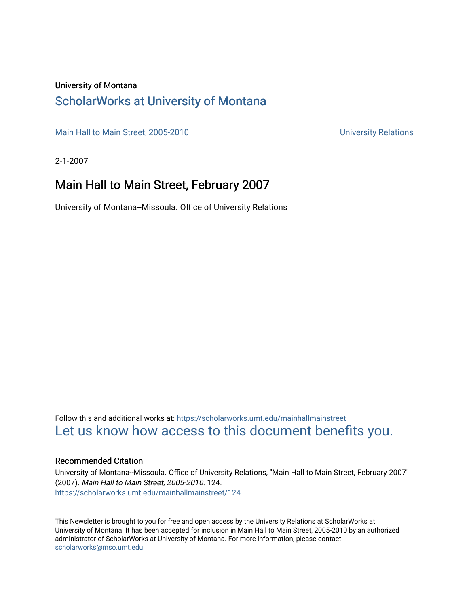### University of Montana

### [ScholarWorks at University of Montana](https://scholarworks.umt.edu/)

[Main Hall to Main Street, 2005-2010](https://scholarworks.umt.edu/mainhallmainstreet) Main Hall to Main Street, 2005-2010

2-1-2007

## Main Hall to Main Street, February 2007

University of Montana--Missoula. Office of University Relations

Follow this and additional works at: [https://scholarworks.umt.edu/mainhallmainstreet](https://scholarworks.umt.edu/mainhallmainstreet?utm_source=scholarworks.umt.edu%2Fmainhallmainstreet%2F124&utm_medium=PDF&utm_campaign=PDFCoverPages) [Let us know how access to this document benefits you.](https://goo.gl/forms/s2rGfXOLzz71qgsB2) 

### Recommended Citation

University of Montana--Missoula. Office of University Relations, "Main Hall to Main Street, February 2007" (2007). Main Hall to Main Street, 2005-2010. 124. [https://scholarworks.umt.edu/mainhallmainstreet/124](https://scholarworks.umt.edu/mainhallmainstreet/124?utm_source=scholarworks.umt.edu%2Fmainhallmainstreet%2F124&utm_medium=PDF&utm_campaign=PDFCoverPages)

This Newsletter is brought to you for free and open access by the University Relations at ScholarWorks at University of Montana. It has been accepted for inclusion in Main Hall to Main Street, 2005-2010 by an authorized administrator of ScholarWorks at University of Montana. For more information, please contact [scholarworks@mso.umt.edu.](mailto:scholarworks@mso.umt.edu)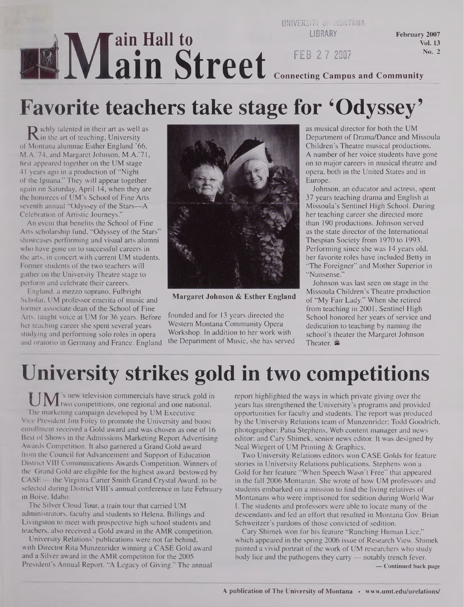### **MIVIE ain Hall to ain Street UNIVERSITY Or MONTA LIBRARY FEB 2 7 2007** February 2007 Vol. 13 No. 2 **Connecting Campus and Community**

# **Favorite teachers take stage for 'Odyssey'**

**R** ichly talented in their art as well as<br>Montana alumnae Esther England '66. in the art of teaching, University of Montana alumnae Esther England '66, M.A.'74, and Margaret Johnson, M.A.'71, first appeared together on the UM stage 41 years ago in a production of "Night of the Iguana." They will appear together again on Saturday, April 14, when they are the honorees of UM's School of Fine Arts seventh annual "Odyssey of the Stars---A Celebration of Artistic Journeys."

An event that benefits the School of Fine Arts scholarship fund, "Odyssey of the Stars" showcases performing and visual arts alumni who have gone on to successful careers in the arts, in concert with current UM students. Former students of the two teachers will gather on the University Theatre stage to perform and celebrate their careers.

England, a mezzo soprano, Fulbright Scholar, UM professor emerita of music and former associate dean of the School of Fine Arts, taught voice at UM for 36 years. Before her teaching career she spent several years studying and performing solo roles in opera and oratorio in Germany and France. England



**Margaret Johnson & Esther England**

founded and for 13 years directed the Western Montana Community Opera Workshop. In addition to her work with the Department of Music, she has served as musical director for both the UM Department of Drama/Dance and Missoula Children's Theatre musical productions. A number of her voice students have gone on to major careers in musical theatre and opera, both in the United States and in Europe.

Johnson, an educator and actress, spent 37 years teaching drama and English at Missoula's Sentinel High School. During her teaching career she directed more than 190 productions. Johnson served as the state director of the International Thespian Society from 1970 to 1993. Performing since she was 14 years old, her favorite roles have included Betty in "The Foreigner" and Mother Superior in "Nunsense."

Johnson was last seen on stage in the Missoula Children's Theatre production of "My Fair Lady." When she retired from teaching in 2001, Sentinel High School honored her years of service and dedication to teaching by naming the school's theater the Margaret Johnson Theater. **零** 

# **University strikes gold in two competitions**

**' TA/T <sup>s</sup> new** television commercials have struck gold in **kJ IVAtwo** competitions, one regional and one national. The marketing campaign developed by UM Executive Vice President Jim Foley to promote the University and boost enrollment received a Gold award and was chosen as one of 16 Best of Shows in the Admissions Marketing Report Advertising Awards Competition. It also garnered a Grand Gold award from the Council for Advancement and Support of Education District VIII Communications Awards Competition. Winners of the Grand Gold are eligible for the highest award bestowed by CASE — the Virginia Carter Smith Grand Crystal Award, to be selected during District VIII's annual conference in late February in Boise, Idaho.

The Silver Cloud Tour, a train tour that carried UM administrators, faculty and students to Helena, Billings and Livingston to meet with prospective high school students and teachers, also received a Gold award in the AMR competition.

University Relations' publications were not far behind, with Director Rita Munzenrider winning a CASE Gold award and a Silver award in the AMR competiton for the 2005 President's Annual Report, "A Legacy of Giving." The annual report highlighted the ways in which private giving over the years has strengthened the University's programs and provided opportunities for faculty and students. The report was produced by the University Relations team of Munzenrider; Todd Goodrich, photographer; Patia Stephens, Web content manager and news editor; and Cary Shimek, senior news editor. It was designed by Neal Wiegert of UM Printing & Graphics.

Two University Relations editors won CASE Golds for feature stories in University Relations publications. Stephens won a Gold for her feature "When Speech Wasn't Free" that appeared in the fall 2006 Montanan. She wrote of how UM professors and students embarked on a mission to find the living relatives of Montanans who were imprisoned for sedition during World War I. The students and professors were able to locate many of the descendants and led an effort that resulted in Montana Gov. Brian Schweitzer's pardons of those convicted of sedition.

Cary Shimek won for his feature "Ranching Human Lice," which appeared in the spring 2006 issue of Research View. Shimek painted a vivid portrait of the work of UM researchers who study body lice and the pathogens they carry — notably trench fever. **— Continued back page**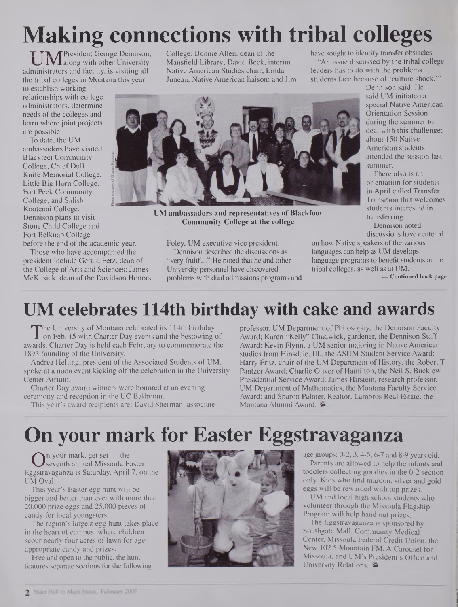# **Making connections with tribal colleges**

**T TA** *A* President George Dennison,  $\mathbf{IV}\mathbf{I}$ along with other University administrators and faculty, is visiting all the tribal colleges in Montana this year

to establish working relationships with college administrators, determine needs of the colleges and learn where joint projects are possible.

To date, the UM ambassadors have visited Blackfeet Community College, Chief Dull Knife Memorial College, Little Big Horn College, Fort Peck Community College, and Salish Kootenai College. Dennison plans to visit Stone Child College and Fort Belknap College

before the end of the academic year.

Those who have accompanied the president include Gerald Fetz, dean of the College of Arts and Sciences: James McKusick, dean of the Davidson Honors College; Bonnie Allen, dean of the Mansfield Library; David Beck, interim Native American Studies chair; Linda Juneau, Native American liaison; and Jim have sought to identify transfer obstacles. "An issue discussed by the tribal college leaders has to do with the problems students face because of 'culture shock,'"

Dennison said. He said UM initiated a special Native American Orientation Session during the summer to deal with this challenge; about 150 Native American students attended the session last summer.

There also is an orientation forstudents in April called Transfer Transition that welcomes students interested in transferring.

Dennison noted discussions have centered

on how Native speakers of the various languages can help as UM develops language programs to benefit students at the tribal colleges, as well as at UM.

**— Continued back page**

## **UM celebrates 114th birthday with cake and awards**

Foley, UM executive vice president. Dennison described the discussions as "very fruitful." He noted that he and other University personnel have discovered problems with dual admissions programs and

UM ambassadors and representatives of Blackfoot Community College at the college

The University of Montana celebrated its 114th birthday<br>for Feb. 15 with Charter Day events and the bestowing of<br>vards. Charter Day is held each February to commemorate the The University of Montana celebrated its 114th birthday awards. Charter Day is held each February to commemorate the 1893 founding of the University.

Andrea Helling, president of the Associated Students of UM, spoke at a noon event kicking off the celebration in the University Center Atrium.

Charter Day award winners were honored at an evening ceremony and reception in the UC Ballroom.

This year's award recipients are: David Sherman, associate

professor, UM Department of Philosophy, the Dennison Faculty Award; Karen "Kelly" Chadwick, gardener, the Dennison Staff Award; Kevin Flynn, a UM senior majoring in Native American studies from Hinsdale, Ill., the ASUM Student Service Award; Harry Fritz, chair of the UM Department of History, the Robert T. Pantzer Award; Charlie Oliver of Hamilton, the Neil S. Bucklew Presidential Service Award; James Hirstein, research professor, UM Department of Mathematics, the Montana Faculty Service Award; and Sharon Palmer, Realtor, Lambros Real Estate, the Montana Alumni Award.

## **On your mark for Easter Eggstravaganza**

On your mark, get set --- the<br>gstravaganza is Saturday, April 7, on the n your mark, get set — the seventh annual Missoula Easter UM Oval.

This year's Easter egg hunt will be bigger and better than ever with more than 20,000 prize eggs and 25,000 pieces of candy for local youngsters.

The region's largest egg hunt takes place in the heart of campus, where children scour nearly four acres of lawn for ageappropriate candy and prizes.

Free and open to the public, the hunt features separate sections for the following



age groups: 0-2,3,4-5,6-7 and 8-9 years old. Parents are allowed to help the infants and toddlers collecting goodies in the 0-2 section only. Kids who find maroon, silver and gold eggs will be rewarded with top prizes.

UM and local high school students who volunteer through the Missoula Flagship Program will help hand out prizes.

The Eggstravaganza is sponsored by Southgate Mall, Community Medical Center, Missoula Federal Credit Union, the New 102.5 Mountain FM, A Carousel for Missoula, and UM's President's Office and University Relations, **is**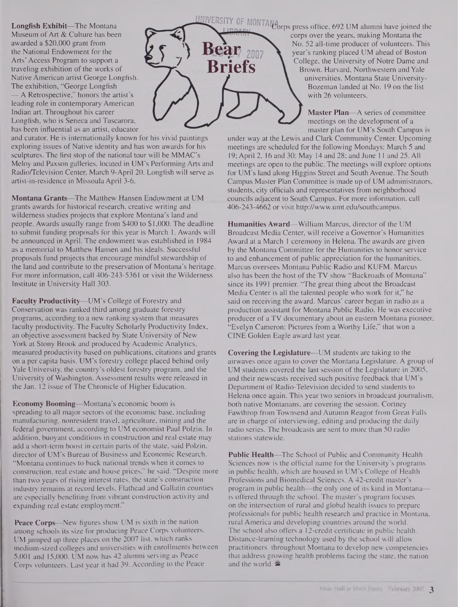**Longfish Exhibit—**The Montana Museum of Art & Culture has been awarded a \$20,000 grant from the National Endowment for the Arts' Access Program to support a traveling exhibition of the works of Native American artist George Longfish. The exhibition, "George Longfish —A Retrospective," honors the artist's leading role in contemporary American

Indian art. Throughout his career Longfish, who is Seneca and Tuscarora, has been influential as an artist, educator

and curator. He is internationally known for his vivid paintings exploring issues of Native identity and has won awards for his sculptures. The first stop of the national tour will be MMAC's Meloy and Paxson galleries, located in UM's Performing Arts and Radio/Television Center, March 9-April 20. Longfish will serve as artist-in-residence in Missoula April 3-6.

**Montana Grants—**The Matthew Hansen Endowment at UM grants awards for historical research, creative writing and wilderness studies projects that explore Montana's land and people. Awards usually range from \$400 to \$1,000. The deadline to submit funding proposals for this year is March 1. Awards will be announced in April. The endowment was established in 1984 as a memorial to Matthew Hansen and his ideals. Successful proposals fund projects that encourage mindful stewardship of the land and contribute to the preservation of Montana's heritage. For more information, call 406-243-5361 or visit the Wilderness Institute in University Hall 303.

**Faculty Productivity—**UM's College of Forestry and Conservation was ranked third among graduate forestry programs, according to a new ranking system that measures faculty productivity. The Faculty Scholarly Productivity Index, an objective assessment backed by State University of New York at Stony Brook and produced by Academic Analytics, measured productivity based on publications, citations and grants on a per capita basis. UM's forestry college placed behind only Yale University, the country's oldest forestry program, and the University of Washington. Assessment results were released in the Jan. 12 issue of The Chronicle of Higher Education.

**Economy Booming—**Montana's economic boom is spreading to all major sectors of the economic base, including manufacturing, nonresident travel, agriculture, mining and the federal government, according to UM economist Paul Polzin. In addition, buoyant conditions in construction and real estate may add a short-term boost in certain parts of the state, said Polzin, director of UM's Bureau of Business and Economic Research. "Montana continues to buck national trends when it comes to construction, real estate and house prices," he said. "Despite more than two years of rising interest rates, the state's construction industry remains at record levels. Flathead and Gallatin counties are especially benefiting from vibrant construction activity and expanding real estate employment."

**Peace Corps—**New figures show UM is sixth in the nation among schools its size for producing Peace Corps volunteers. UM jumped up three places on the 2007 list, which ranks medium-sized colleges and universities with enrollments between 5,001 and 15,000. UM now has 42 alumni serving as Peace Corps volunteers. Last year it had 39. According to the Peace



UNIVERSITY OF MONTAN<sub>d</sub> eyess office, 692 UM alumni have joined the corps over the years, making Montana the No. 52 all-time producer of volunteers. This year's ranking placed UM ahead of Boston College, the University of Notre Dame and Brown, Harvard, Northwestern and Yale universities. Montana State University-Bozeman landed at No. 19 on the list with 26 volunteers.

> **Master Plan—**A series of committee meetings on the development of a master plan for UM's South Campus is

under way at the Lewis and Clark Community Center. Upcoming meetings are scheduled for the following Mondays: March 5 and 19; April 2, 16 and 30; May 14 and 28; and June <sup>11</sup> and 25. All meetings are open to the public. The meetings will explore options for UM's land along Higgins Street and South Avenue. The South Campus Master Plan Committee is made up of UM administrators, students, city officials and representatives from neighborhood councils adjacent to South Campus. For more information, call 406-243-4662 or visit <http://www.umt.edu/southcampus>.

**Humanities Award—**William Marcus, director of the UM Broadcast Media Center, will receive a Governor's Humanities Award at a March <sup>1</sup> ceremony in Helena. The awards are given by the Montana Committee for the Humanities to honor service to and enhancement of public appreciation for the humanities. Marcus oversees Montana Public Radio and KUFM. Marcus also has been the host of the TV show "Backroads of Montana" since its 1991 premier. "The great thing about the Broadcast Media Center is all the talented people who work for it," he said on receiving the award. Marcus' career began in radio as a production assistant for Montana Public Radio. He was executive producer of a TV documentary about an eastern Montana pioneer, "Evelyn Cameron: Pictures from a Worthy Life," that won a CINE Golden Eagle award last year.

**Covering the Legislature—**UM students are taking to the airwaves once again to cover the Montana Legislature. A group of UM students covered the last session of the Legislature in 2005, and their newscasts received such positive feedback that UM's Department of Radio-Television decided to send students to Helena once again. This year two seniors in broadcast journalism, both native Montanans, are covering the session. Cortney Fawthrop from Townsend and Autumn Reagor from Great Falls are in charge of interviewing, editing and producing the daily radio series. The broadcasts are sent to more than 50 radio stations statewide.

**Public Health—**The School of Public and Community Health Sciences now is the official name for the University's programs in public health, which are housed in UM's College of Health Professions and Biomedical Sciences. A 42-credit master's program in public health—the only one of its kind in Montana is offered through the school. The master's program focuses on the intersection of rural and global health issues to prepare professionals for public health research and practice in Montana, rural America and developing countries around the world. The school also offers a 12-credit certificate in public health. Distance-learning technology used by the school will allow practitioners throughout Montana to develop new competencies that address growing health problems facing the state, the nation and the world. ®